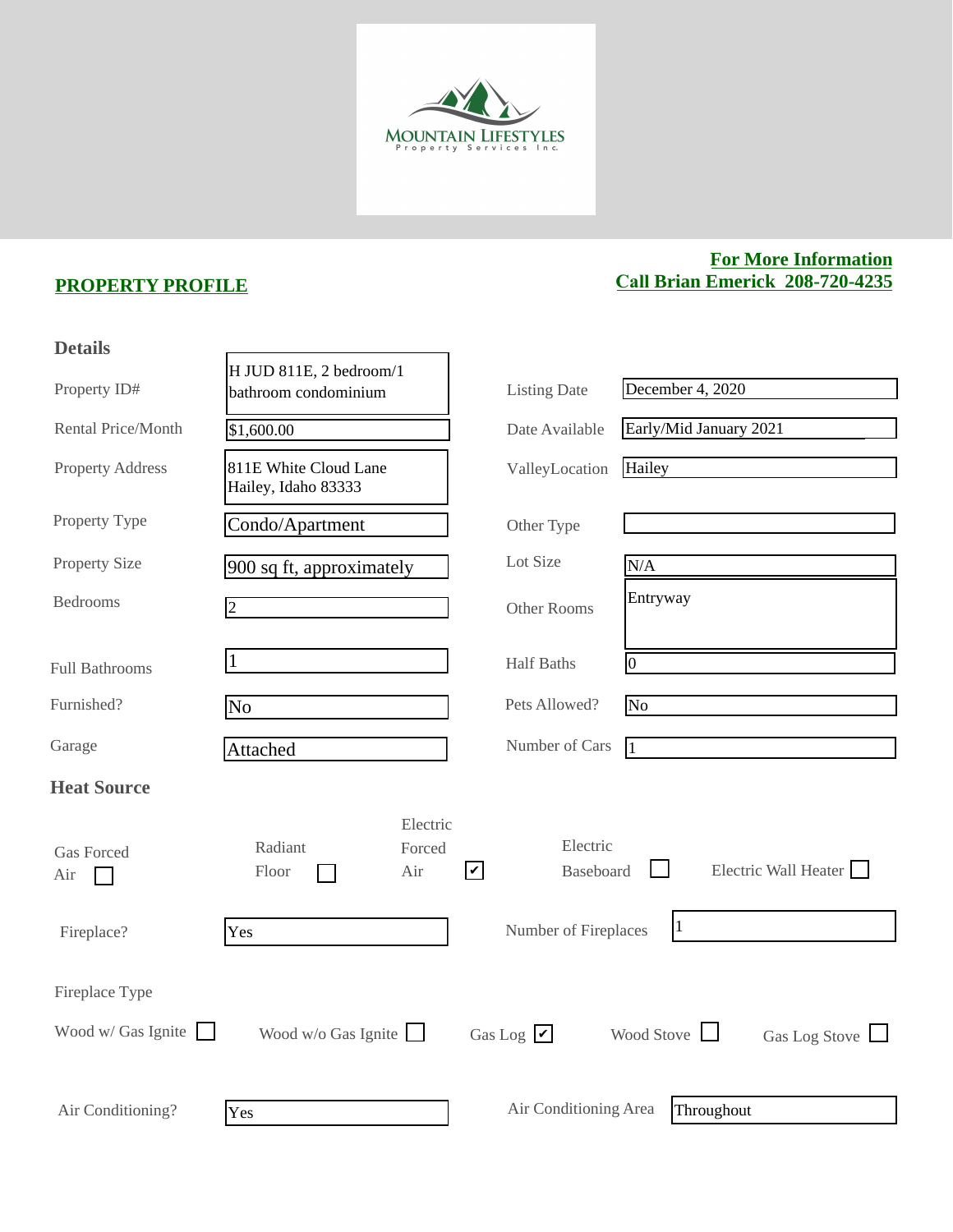

## **PROPERTY PROFILE**

## **For More Information Call Brian Emerick 208-720-4235**

| <b>Details</b>                              |                                                 |                                               |                                    |
|---------------------------------------------|-------------------------------------------------|-----------------------------------------------|------------------------------------|
| Property ID#                                | H JUD 811E, 2 bedroom/1<br>bathroom condominium | <b>Listing Date</b>                           | December 4, 2020                   |
| Rental Price/Month                          | \$1,600.00                                      | Date Available                                | Early/Mid January 2021             |
| <b>Property Address</b>                     | 811E White Cloud Lane<br>Hailey, Idaho 83333    | ValleyLocation                                | Hailey                             |
| Property Type                               | Condo/Apartment                                 | Other Type                                    |                                    |
| <b>Property Size</b>                        | 900 sq ft, approximately                        | Lot Size                                      | N/A                                |
| <b>Bedrooms</b>                             | $\overline{2}$                                  | Other Rooms                                   | Entryway                           |
| <b>Full Bathrooms</b>                       | 1                                               | <b>Half Baths</b>                             | $\overline{0}$                     |
| Furnished?                                  | No                                              | Pets Allowed?                                 | No                                 |
| Garage                                      | Attached                                        | Number of Cars                                | $\vert$ 1                          |
| <b>Heat Source</b>                          |                                                 |                                               |                                    |
| <b>Gas Forced</b><br>Air                    | Electric<br>Radiant<br>Forced<br>Floor<br>Air   | Electric<br>$\blacktriangledown$<br>Baseboard | Electric Wall Heater               |
| Fireplace?                                  | Yes                                             | Number of Fireplaces                          | $\vert$ 1                          |
| Fireplace Type<br>Wood w/ Gas Ignite $\Box$ | Wood $w/o$ Gas Ignite                           | Gas Log $\overline{\mathbf{V}}$               | Wood Stove<br>Gas Log Stove $\Box$ |
| Air Conditioning?                           | Yes                                             | Air Conditioning Area                         | Throughout                         |